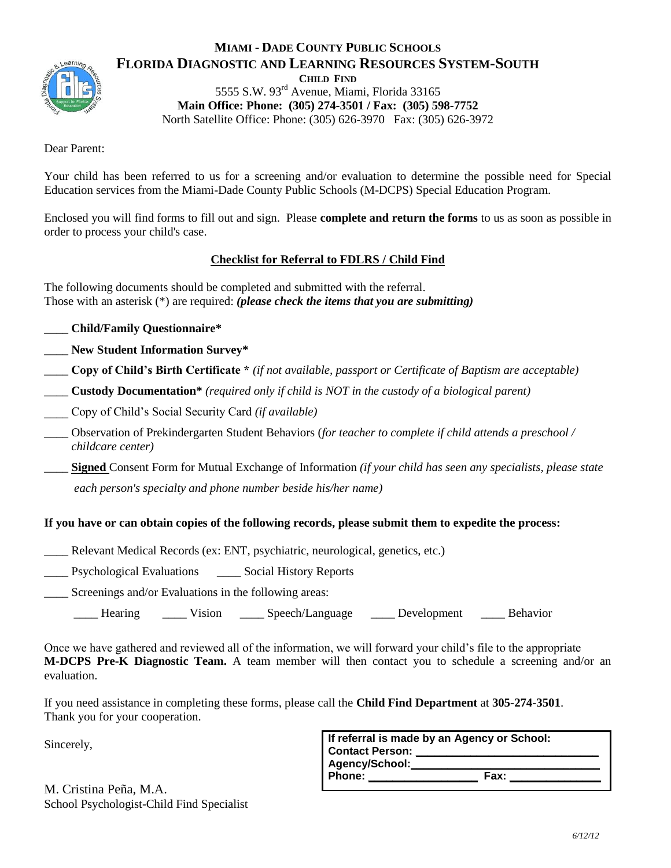

#### **MIAMI - DADE COUNTY PUBLIC SCHOOLS FLORIDA DIAGNOSTIC AND LEARNING RESOURCES SYSTEM-SOUTH CHILD FIND**  5555 S.W. 93rd Avenue, Miami, Florida 33165 **Main Office: Phone: (305) 274-3501 / Fax: (305) 598-7752** North Satellite Office: Phone: (305) 626-3970 Fax: (305) 626-3972

Dear Parent:

Your child has been referred to us for a screening and/or evaluation to determine the possible need for Special Education services from the Miami-Dade County Public Schools (M-DCPS) Special Education Program.

Enclosed you will find forms to fill out and sign. Please **complete and return the forms** to us as soon as possible in order to process your child's case.

#### **Checklist for Referral to FDLRS / Child Find**

The following documents should be completed and submitted with the referral. Those with an asterisk (\*) are required: *(please check the items that you are submitting)*

- \_\_\_\_ **Child/Family Questionnaire\***
- **\_\_\_\_ New Student Information Survey\***
- \_\_\_\_ **Copy of Child's Birth Certificate \*** *(if not available, passport or Certificate of Baptism are acceptable)*
- \_\_\_\_ **Custody Documentation\*** *(required only if child is NOT in the custody of a biological parent)*
- \_\_\_\_ Copy of Child's Social Security Card *(if available)*
- \_\_\_\_ Observation of Prekindergarten Student Behaviors (*for teacher to complete if child attends a preschool / childcare center)*
- \_\_\_\_ **Signed** Consent Form for Mutual Exchange of Information *(if your child has seen any specialists, please state*

*each person's specialty and phone number beside his/her name)*

## **If you have or can obtain copies of the following records, please submit them to expedite the process:**

\_\_\_\_ Relevant Medical Records (ex: ENT, psychiatric, neurological, genetics, etc.)

\_\_\_\_ Psychological Evaluations \_\_\_\_ Social History Reports

Screenings and/or Evaluations in the following areas:

Hearing Vision Speech/Language Development Behavior

Once we have gathered and reviewed all of the information, we will forward your child's file to the appropriate **M-DCPS Pre-K Diagnostic Team.** A team member will then contact you to schedule a screening and/or an evaluation.

If you need assistance in completing these forms, please call the **Child Find Department** at **305-274-3501**. Thank you for your cooperation.

Sincerely,

|                        | If referral is made by an Agency or School: |
|------------------------|---------------------------------------------|
| <b>Contact Person:</b> |                                             |
| Agency/School:         |                                             |
| Phone:                 | <b>Fax:</b>                                 |
|                        |                                             |

M. Cristina Peña, M.A. School Psychologist-Child Find Specialist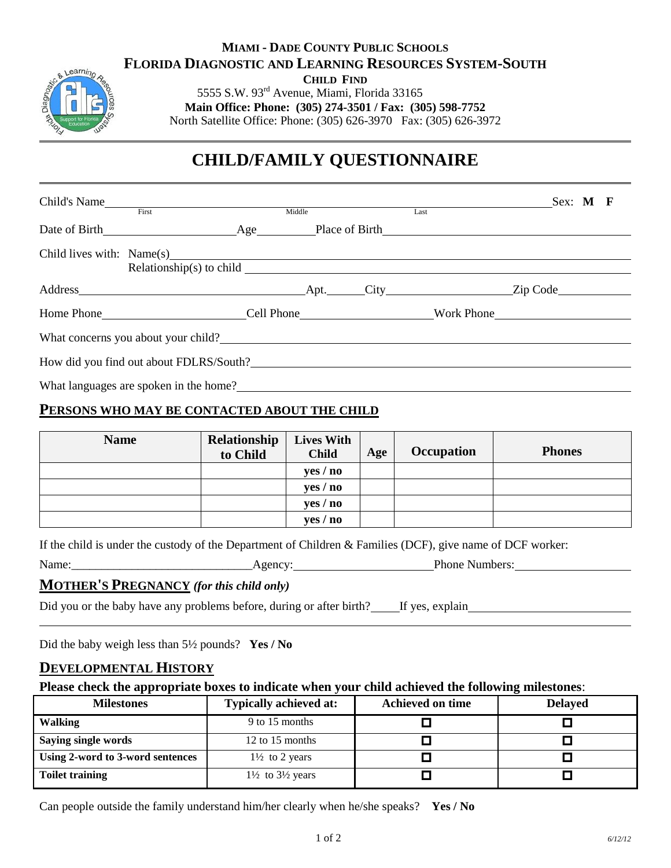# **MIAMI - DADE COUNTY PUBLIC SCHOOLS FLORIDA DIAGNOSTIC AND LEARNING RESOURCES SYSTEM-SOUTH**

**CHILD FIND** 

5555 S.W. 93rd Avenue, Miami, Florida 33165 **Main Office: Phone: (305) 274-3501 / Fax: (305) 598-7752** 

North Satellite Office: Phone: (305) 626-3970 Fax: (305) 626-3972

# **CHILD/FAMILY QUESTIONNAIRE**

| Child's Name<br>First                   | Middle |  | Last | Sex: M F |  |
|-----------------------------------------|--------|--|------|----------|--|
|                                         |        |  |      |          |  |
|                                         |        |  |      |          |  |
|                                         |        |  |      |          |  |
| Home Phone Cell Phone North Work Phone  |        |  |      |          |  |
| What concerns you about your child?     |        |  |      |          |  |
| How did you find out about FDLRS/South? |        |  |      |          |  |
| What languages are spoken in the home?  |        |  |      |          |  |

### **PERSONS WHO MAY BE CONTACTED ABOUT THE CHILD**

| <b>Name</b> | <b>Relationship</b><br>to Child | <b>Lives With</b><br><b>Child</b> | Age | Occupation | <b>Phones</b> |
|-------------|---------------------------------|-----------------------------------|-----|------------|---------------|
|             |                                 | yes / no                          |     |            |               |
|             |                                 | yes / no                          |     |            |               |
|             |                                 | yes / no                          |     |            |               |
|             |                                 | yes / no                          |     |            |               |

| If the child is under the custody of the Department of Children & Families (DCF), give name of DCF worker: |  |  |  |
|------------------------------------------------------------------------------------------------------------|--|--|--|
|------------------------------------------------------------------------------------------------------------|--|--|--|

| Name: | $Agencv$ . | Phone.<br>Numbers: |
|-------|------------|--------------------|
|       |            |                    |

#### **MOTHER'S PREGNANCY** *(for this child only)*

|  | Did you or the baby have any problems before, during or after birth? |  |  | <sup>2</sup> If yes, explain |  |
|--|----------------------------------------------------------------------|--|--|------------------------------|--|
|  |                                                                      |  |  |                              |  |

Did the baby weigh less than 5½ pounds? **Yes / No**

#### **DEVELOPMENTAL HISTORY**

earni

**Please check the appropriate boxes to indicate when your child achieved the following milestones**:

| <b>Milestones</b>                | <b>Typically achieved at:</b>          | <b>Achieved on time</b> | <b>Delayed</b> |
|----------------------------------|----------------------------------------|-------------------------|----------------|
| <b>Walking</b>                   | 9 to 15 months                         |                         |                |
| <b>Saying single words</b>       | 12 to 15 months                        |                         |                |
| Using 2-word to 3-word sentences | $1\frac{1}{2}$ to 2 years              |                         |                |
| <b>Toilet training</b>           | $1\frac{1}{2}$ to $3\frac{1}{2}$ years |                         |                |

Can people outside the family understand him/her clearly when he/she speaks? **Yes / No**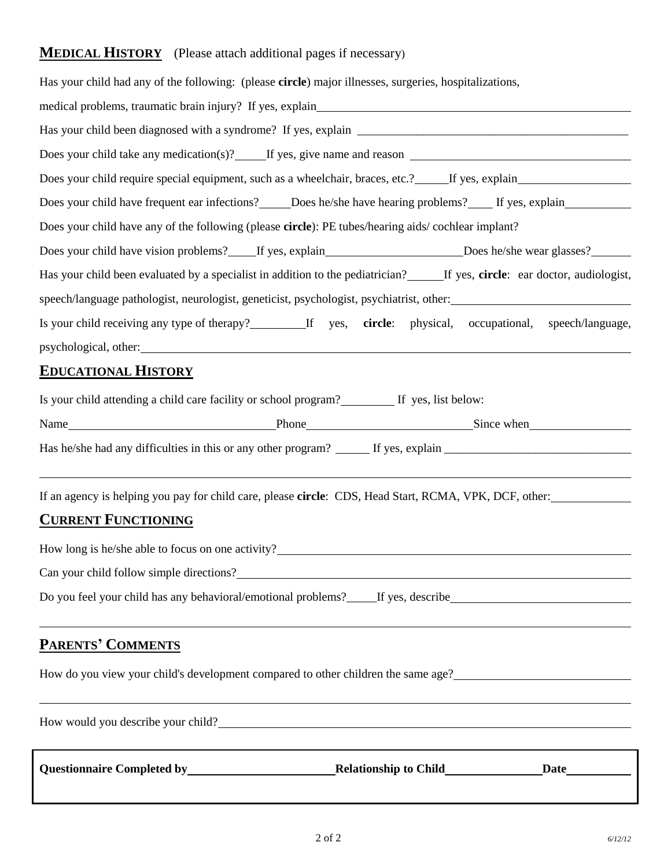# **MEDICAL HISTORY** (Please attach additional pages if necessary)

| Has your child had any of the following: (please circle) major illnesses, surgeries, hospitalizations,                                                                                                                                  |
|-----------------------------------------------------------------------------------------------------------------------------------------------------------------------------------------------------------------------------------------|
|                                                                                                                                                                                                                                         |
|                                                                                                                                                                                                                                         |
|                                                                                                                                                                                                                                         |
| Does your child require special equipment, such as a wheelchair, braces, etc.? If yes, explain                                                                                                                                          |
| Does your child have frequent ear infections? Does he/she have hearing problems? If yes, explain                                                                                                                                        |
| Does your child have any of the following (please circle): PE tubes/hearing aids/ cochlear implant?                                                                                                                                     |
| Does your child have vision problems? If yes, explain Does he/she wear glasses?                                                                                                                                                         |
| Has your child been evaluated by a specialist in addition to the pediatrician?______If yes, circle: ear doctor, audiologist,                                                                                                            |
| speech/language pathologist, neurologist, geneticist, psychologist, psychiatrist, other:                                                                                                                                                |
| Is your child receiving any type of therapy?__________If yes, circle: physical, occupational, speech/language,                                                                                                                          |
|                                                                                                                                                                                                                                         |
| <b>EDUCATIONAL HISTORY</b>                                                                                                                                                                                                              |
| Is your child attending a child care facility or school program? If yes, list below:                                                                                                                                                    |
| Name Since when Since when Since when Since when Since when Since when Since when Since when Since when Since when Since when Since when Since when Since when Since when Since when Since when Since when Since when Since wh          |
|                                                                                                                                                                                                                                         |
| If an agency is helping you pay for child care, please circle: CDS, Head Start, RCMA, VPK, DCF, other:<br><b>CURRENT FUNCTIONING</b>                                                                                                    |
|                                                                                                                                                                                                                                         |
| How long is he/she able to focus on one activity?                                                                                                                                                                                       |
| Can your child follow simple directions?<br><u>Can your child follow simple directions</u> ?                                                                                                                                            |
| Do you feel your child has any behavioral/emotional problems?_____If yes, describe____________________________<br><u> 1989 - Jan Samuel Barbara, margaret a shekara ta 1989 - An tsara tsara tsara tsara tsara tsara tsara tsara ts</u> |
| <b>PARENTS' COMMENTS</b>                                                                                                                                                                                                                |
| How do you view your child's development compared to other children the same age?<br>1992 - Allen Monte and Steven Line and Steven Line and Steven Line and Steven Line and Steven Line and Steven                                      |
| How would you describe your child?                                                                                                                                                                                                      |

**Questionnaire Completed by Relationship to Child Date**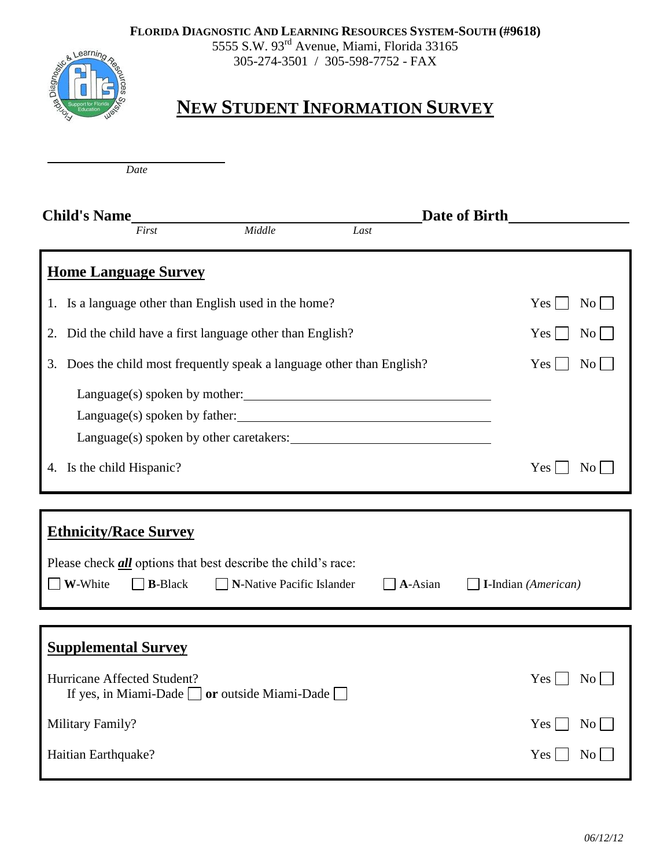**FLORIDA DIAGNOSTIC AND LEARNING RESOURCES SYSTEM-SOUTH (#9618)**

5555 S.W. 93<sup>rd</sup> Avenue, Miami, Florida 33165 305-274-3501 / 305-598-7752 - FAX



# **NEW STUDENT INFORMATION SURVEY**

*Date*

| <b>Child's Name</b>                                                                      |                           |      | Date of Birth |                               |  |
|------------------------------------------------------------------------------------------|---------------------------|------|---------------|-------------------------------|--|
| First                                                                                    | Middle                    | Last |               |                               |  |
| <b>Home Language Survey</b>                                                              |                           |      |               |                               |  |
| 1. Is a language other than English used in the home?                                    |                           |      |               | Yes<br>$\rm No$               |  |
| Did the child have a first language other than English?<br>2.                            |                           |      |               | No<br>Yes                     |  |
| Does the child most frequently speak a language other than English?<br>3.                |                           |      |               | Yes<br>$\overline{N_{O}}$     |  |
| Language(s) spoken by other caretakers:                                                  |                           |      |               |                               |  |
| 4. Is the child Hispanic?                                                                |                           |      |               | Yes<br>N <sub>o</sub>         |  |
|                                                                                          |                           |      |               |                               |  |
| <b>Ethnicity/Race Survey</b>                                                             |                           |      |               |                               |  |
| Please check <b>all</b> options that best describe the child's race:                     |                           |      |               |                               |  |
| W-White<br><b>B-Black</b>                                                                | N-Native Pacific Islander |      | A-Asian       | I-Indian (American)           |  |
|                                                                                          |                           |      |               |                               |  |
| <b>Supplemental Survey</b>                                                               |                           |      |               |                               |  |
| Hurricane Affected Student?<br>If yes, in Miami-Dade $\Box$ or outside Miami-Dade $\Box$ |                           |      |               | Yes<br>N <sub>0</sub>         |  |
| Military Family?                                                                         |                           |      |               | Yes<br>No                     |  |
| Haitian Earthquake?                                                                      |                           |      |               | $\overline{\text{No}}$<br>Yes |  |